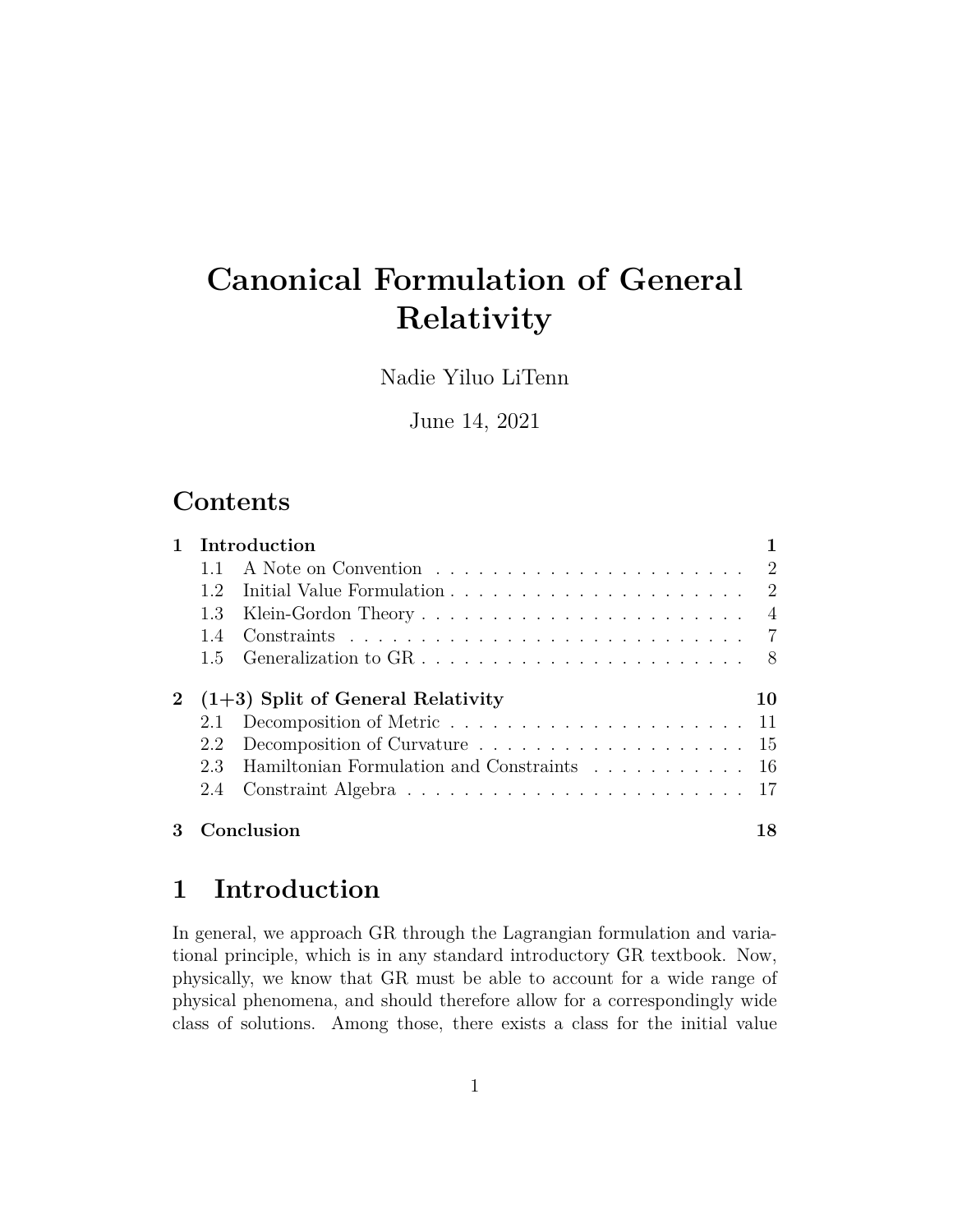# **Canonical Formulation of General Relativity**

Nadie Yiluo LiTenn

June 14, 2021

### **Contents**

|                          | Introduction                                |                |
|--------------------------|---------------------------------------------|----------------|
|                          |                                             |                |
| 1.2.                     |                                             | $\overline{2}$ |
| 1.3                      |                                             |                |
| 1.4                      |                                             |                |
| 1.5                      |                                             |                |
|                          | 2 $(1+3)$ Split of General Relativity       | 10             |
| 2.1<br>2.2<br>2.3<br>2.4 | Hamiltonian Formulation and Constraints  16 |                |

### **1 Introduction**

In general, we approach GR through the Lagrangian formulation and variational principle, which is in any standard introductory GR textbook. Now, physically, we know that GR must be able to account for a wide range of physical phenomena, and should therefore allow for a correspondingly wide class of solutions. Among those, there exists a class for the initial value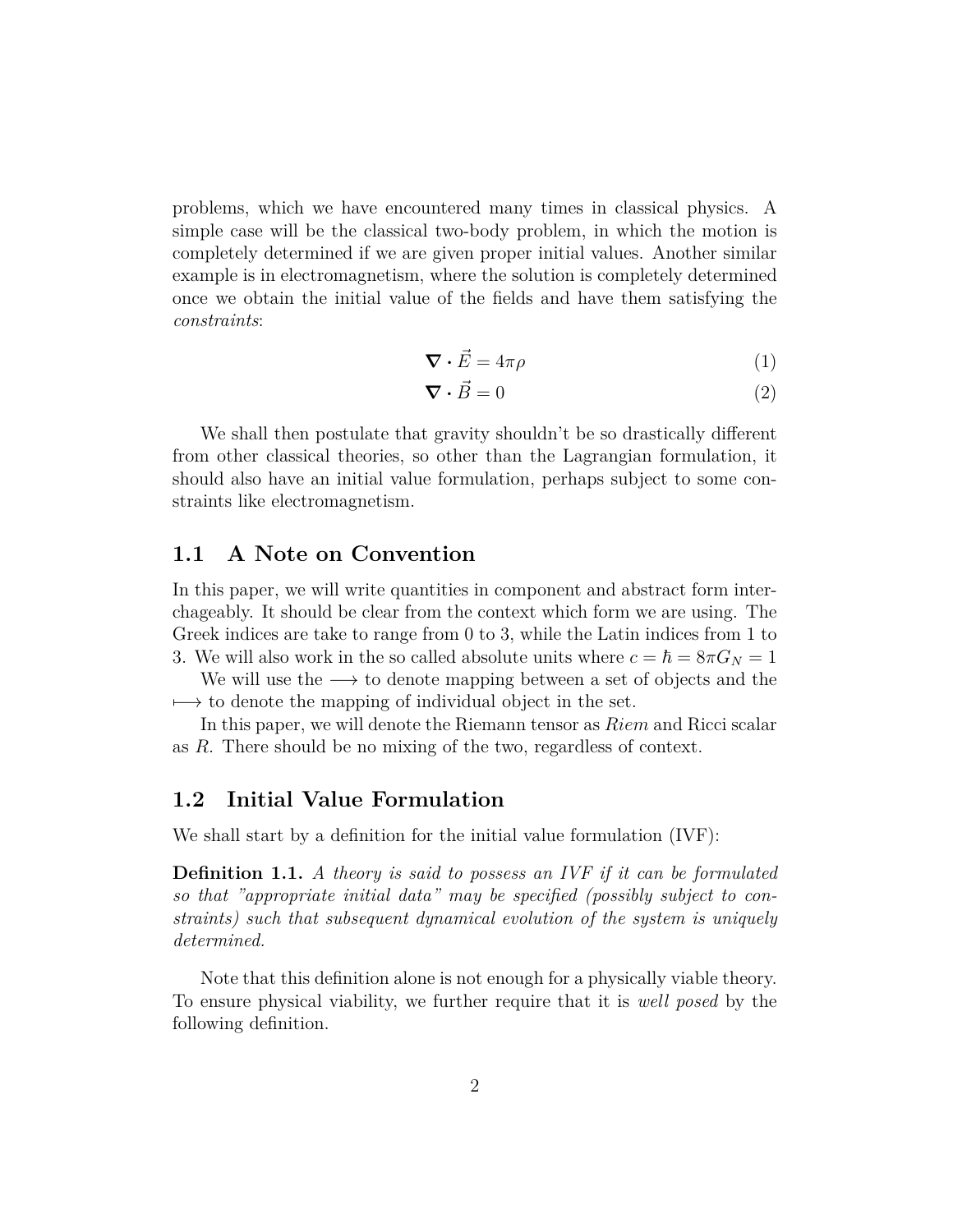problems, which we have encountered many times in classical physics. A simple case will be the classical two-body problem, in which the motion is completely determined if we are given proper initial values. Another similar example is in electromagnetism, where the solution is completely determined once we obtain the initial value of the fields and have them satisfying the *constraints*:

$$
\nabla \cdot \vec{E} = 4\pi\rho \tag{1}
$$

$$
\nabla \cdot \vec{B} = 0 \tag{2}
$$

We shall then postulate that gravity shouldn't be so drastically different from other classical theories, so other than the Lagrangian formulation, it should also have an initial value formulation, perhaps subject to some constraints like electromagnetism.

### **1.1 A Note on Convention**

In this paper, we will write quantities in component and abstract form interchageably. It should be clear from the context which form we are using. The Greek indices are take to range from 0 to 3, while the Latin indices from 1 to 3. We will also work in the so called absolute units where  $c = \hbar = 8\pi G_N = 1$ 

We will use the *−→* to denote mapping between a set of objects and the  $\rightarrow$  to denote the mapping of individual object in the set.

In this paper, we will denote the Riemann tensor as *Riem* and Ricci scalar as *R*. There should be no mixing of the two, regardless of context.

### **1.2 Initial Value Formulation**

We shall start by a definition for the initial value formulation (IVF):

**Definition 1.1.** *A theory is said to possess an IVF if it can be formulated so that "appropriate initial data" may be specified (possibly subject to constraints) such that subsequent dynamical evolution of the system is uniquely determined.*

Note that this definition alone is not enough for a physically viable theory. To ensure physical viability, we further require that it is *well posed* by the following definition.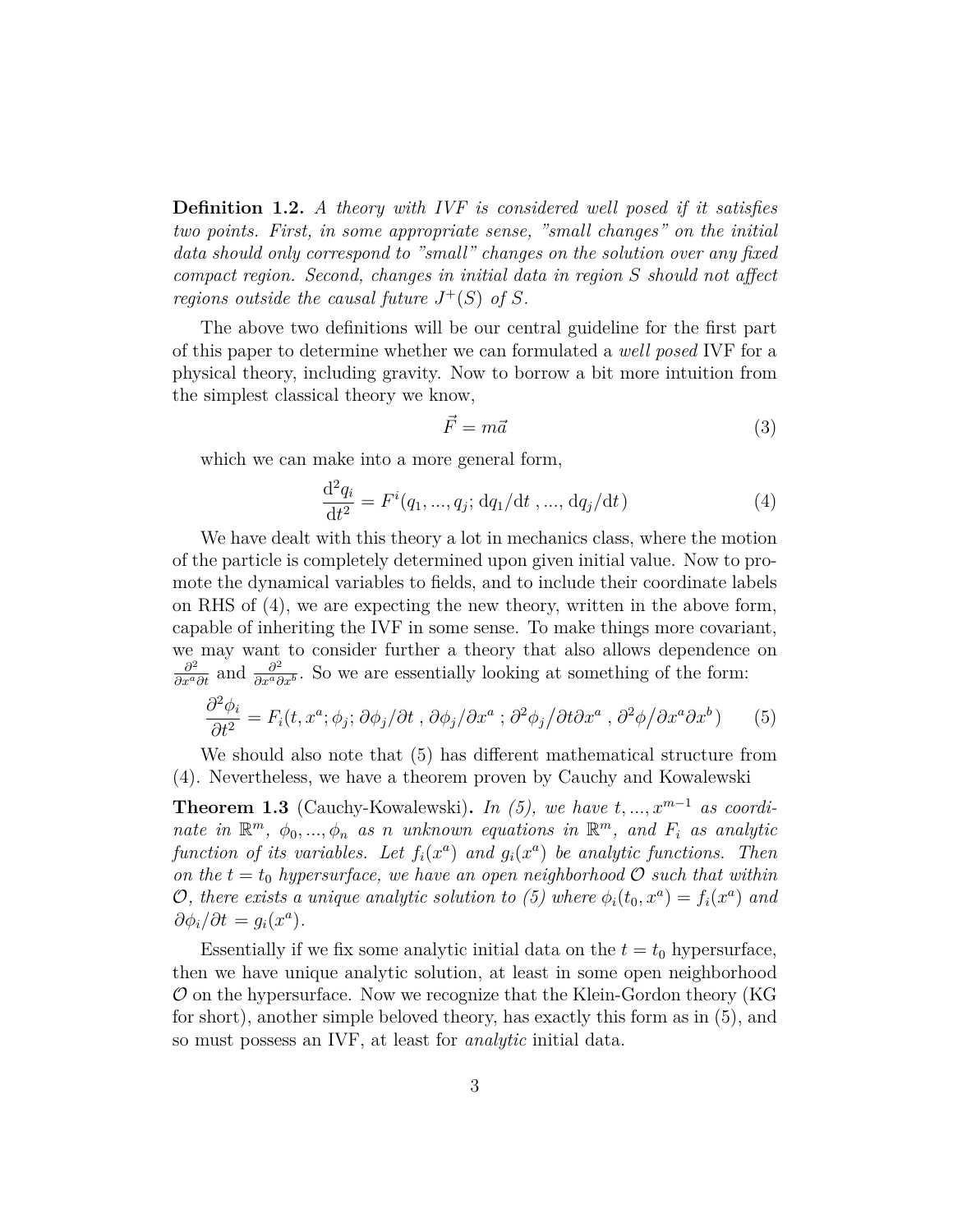**Definition 1.2.** *A theory with IVF is considered well posed if it satisfies two points. First, in some appropriate sense, "small changes" on the initial data should only correspond to "small" changes on the solution over any fixed compact region. Second, changes in initial data in region S should not affect regions outside the causal future*  $J^+(S)$  *of*  $S$ *.* 

The above two definitions will be our central guideline for the first part of this paper to determine whether we can formulated a *well posed* IVF for a physical theory, including gravity. Now to borrow a bit more intuition from the simplest classical theory we know,

$$
\vec{F} = m\vec{a} \tag{3}
$$

which we can make into a more general form,

$$
\frac{d^2 q_i}{dt^2} = F^i(q_1, ..., q_j; dq_1/dt, ..., dq_j/dt)
$$
\n(4)

We have dealt with this theory a lot in mechanics class, where the motion of the particle is completely determined upon given initial value. Now to promote the dynamical variables to fields, and to include their coordinate labels on RHS of (4), we are expecting the new theory, written in the above form, capable of inheriting the IVF in some sense. To make things more covariant, we may want to consider further a theory that also allows dependence on  $\frac{\partial^2}{\partial x^a \partial t}$  and  $\frac{\partial^2}{\partial x^a \partial t}$  $\frac{\partial^2}{\partial x^a \partial x^b}$ . So we are essentially looking at something of the form:

$$
\frac{\partial^2 \phi_i}{\partial t^2} = F_i(t, x^a; \phi_j; \partial \phi_j / \partial t, \partial \phi_j / \partial x^a; \partial^2 \phi_j / \partial t \partial x^a, \partial^2 \phi / \partial x^a \partial x^b)
$$
(5)

We should also note that (5) has different mathematical structure from (4). Nevertheless, we have a theorem proven by Cauchy and Kowalewski

**Theorem 1.3** (Cauchy-Kowalewski). *In (5), we have*  $t, ..., x^{m-1}$  *as coordinate in*  $\mathbb{R}^m$ ,  $\phi_0, \ldots, \phi_n$  *as n unknown equations in*  $\mathbb{R}^m$ , *and*  $F_i$  *as analytic function of its variables. Let*  $f_i(x^a)$  *and*  $g_i(x^a)$  *be analytic functions. Then on the*  $t = t_0$  *hypersurface, we have an open neighborhood*  $\mathcal{O}$  *such that within O*, there exists a unique analytic solution to (5) where  $\phi_i(t_0, x^a) = f_i(x^a)$  and  $\partial \phi_i / \partial t = g_i(x^a)$ .

Essentially if we fix some analytic initial data on the  $t = t_0$  hypersurface, then we have unique analytic solution, at least in some open neighborhood *O* on the hypersurface. Now we recognize that the Klein-Gordon theory (KG for short), another simple beloved theory, has exactly this form as in (5), and so must possess an IVF, at least for *analytic* initial data.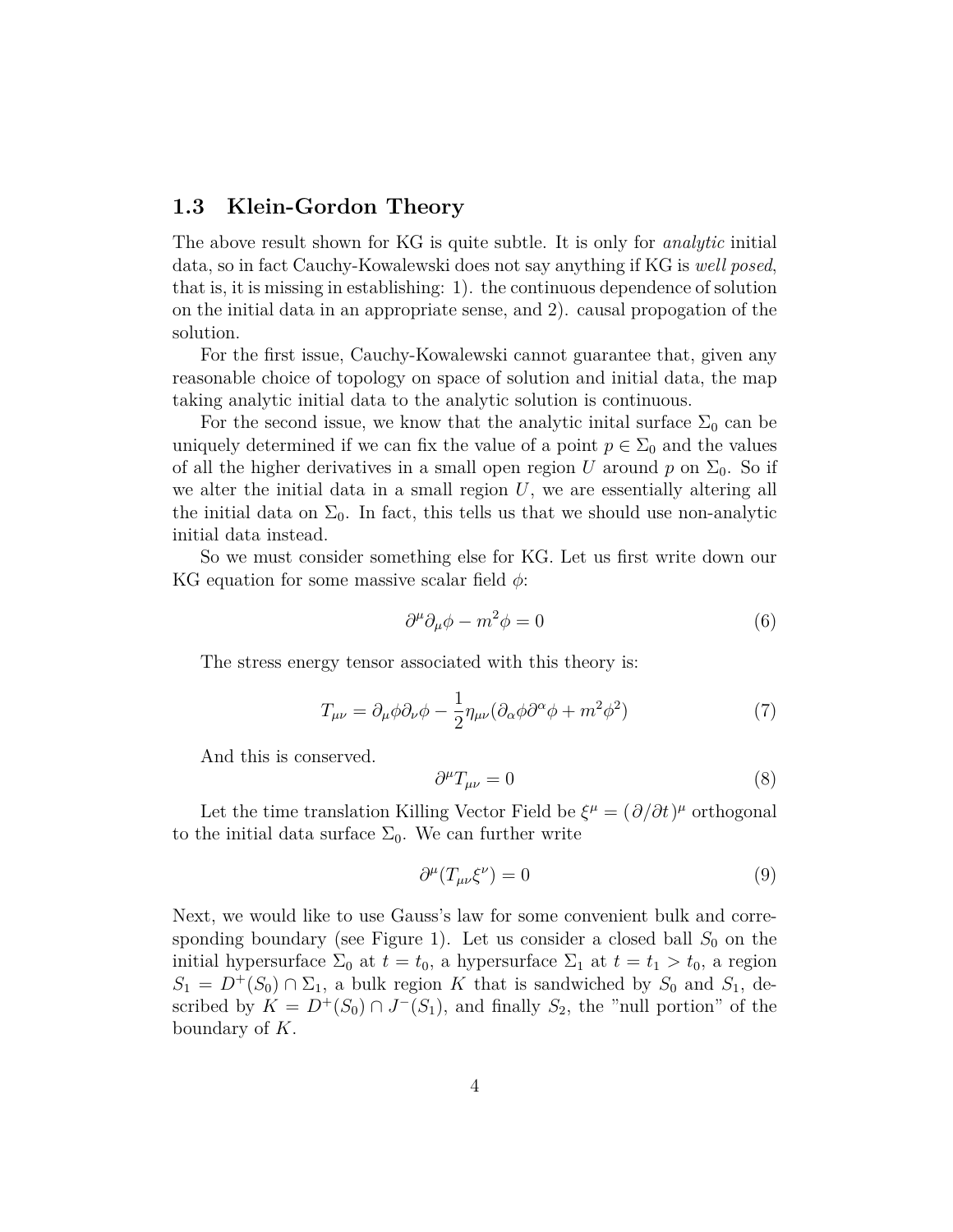### **1.3 Klein-Gordon Theory**

The above result shown for KG is quite subtle. It is only for *analytic* initial data, so in fact Cauchy-Kowalewski does not say anything if KG is *well posed*, that is, it is missing in establishing: 1). the continuous dependence of solution on the initial data in an appropriate sense, and 2). causal propogation of the solution.

For the first issue, Cauchy-Kowalewski cannot guarantee that, given any reasonable choice of topology on space of solution and initial data, the map taking analytic initial data to the analytic solution is continuous.

For the second issue, we know that the analytic initial surface  $\Sigma_0$  can be uniquely determined if we can fix the value of a point  $p \in \Sigma_0$  and the values of all the higher derivatives in a small open region *U* around *p* on  $\Sigma_0$ . So if we alter the initial data in a small region *U*, we are essentially altering all the initial data on  $\Sigma_0$ . In fact, this tells us that we should use non-analytic initial data instead.

So we must consider something else for KG. Let us first write down our KG equation for some massive scalar field *ϕ*:

$$
\partial^{\mu}\partial_{\mu}\phi - m^{2}\phi = 0 \tag{6}
$$

The stress energy tensor associated with this theory is:

$$
T_{\mu\nu} = \partial_{\mu}\phi\partial_{\nu}\phi - \frac{1}{2}\eta_{\mu\nu}(\partial_{\alpha}\phi\partial^{\alpha}\phi + m^2\phi^2)
$$
 (7)

And this is conserved.

$$
\partial^{\mu}T_{\mu\nu} = 0 \tag{8}
$$

Let the time translation Killing Vector Field be  $\xi^{\mu} = (\partial/\partial t)^{\mu}$  orthogonal to the initial data surface  $\Sigma_0$ . We can further write

$$
\partial^{\mu} (T_{\mu\nu} \xi^{\nu}) = 0 \tag{9}
$$

Next, we would like to use Gauss's law for some convenient bulk and corresponding boundary (see Figure 1). Let us consider a closed ball  $S_0$  on the initial hypersurface  $\Sigma_0$  at  $t = t_0$ , a hypersurface  $\Sigma_1$  at  $t = t_1 > t_0$ , a region  $S_1 = D^+(S_0) \cap \Sigma_1$ , a bulk region *K* that is sandwiched by  $S_0$  and  $S_1$ , described by  $K = D^+(S_0) \cap J^-(S_1)$ , and finally  $S_2$ , the "null portion" of the boundary of *K*.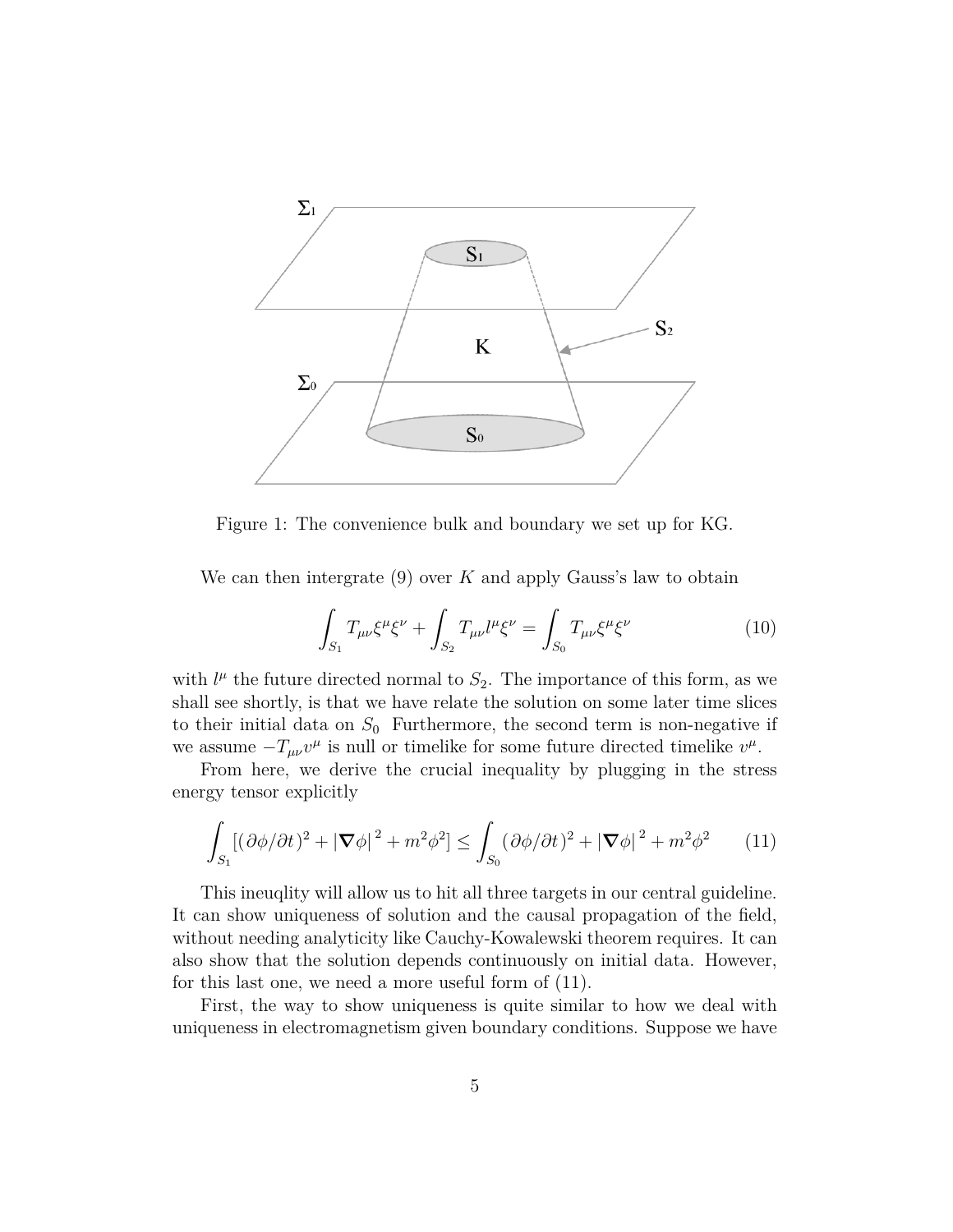

Figure 1: The convenience bulk and boundary we set up for KG.

We can then intergrate (9) over *K* and apply Gauss's law to obtain

$$
\int_{S_1} T_{\mu\nu} \xi^{\mu} \xi^{\nu} + \int_{S_2} T_{\mu\nu} l^{\mu} \xi^{\nu} = \int_{S_0} T_{\mu\nu} \xi^{\mu} \xi^{\nu} \tag{10}
$$

with  $l^{\mu}$  the future directed normal to  $S_2$ . The importance of this form, as we shall see shortly, is that we have relate the solution on some later time slices to their initial data on  $S_0$  Furthermore, the second term is non-negative if we assume  $-T_{\mu\nu}v^{\mu}$  is null or timelike for some future directed timelike  $v^{\mu}$ .

From here, we derive the crucial inequality by plugging in the stress energy tensor explicitly

$$
\int_{S_1} \left[ \left( \partial \phi / \partial t \right)^2 + |\nabla \phi|^2 + m^2 \phi^2 \right] \le \int_{S_0} \left( \partial \phi / \partial t \right)^2 + |\nabla \phi|^2 + m^2 \phi^2 \tag{11}
$$

This ineuqlity will allow us to hit all three targets in our central guideline. It can show uniqueness of solution and the causal propagation of the field, without needing analyticity like Cauchy-Kowalewski theorem requires. It can also show that the solution depends continuously on initial data. However, for this last one, we need a more useful form of (11).

First, the way to show uniqueness is quite similar to how we deal with uniqueness in electromagnetism given boundary conditions. Suppose we have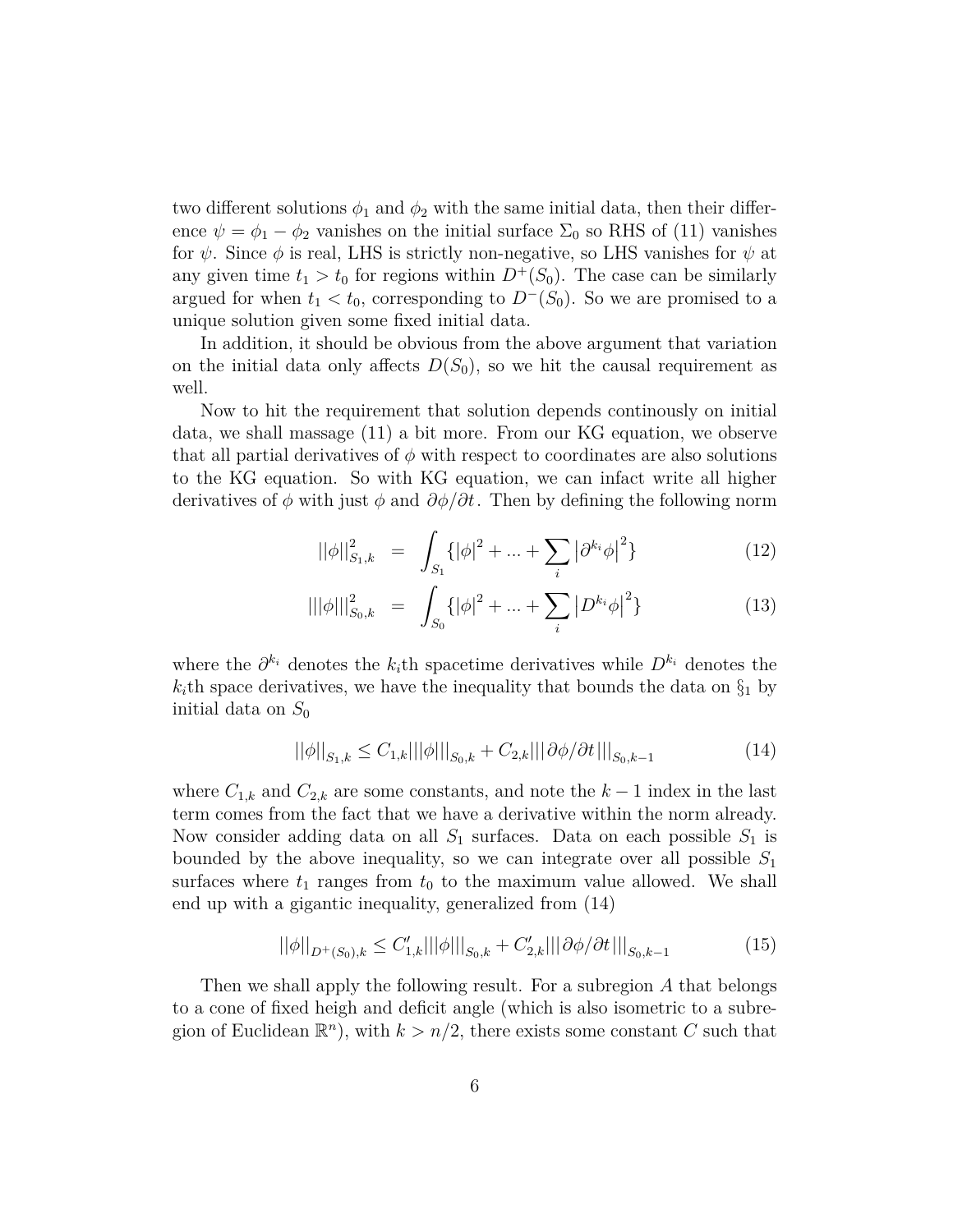two different solutions  $\phi_1$  and  $\phi_2$  with the same initial data, then their difference  $\psi = \phi_1 - \phi_2$  vanishes on the initial surface  $\Sigma_0$  so RHS of (11) vanishes for  $\psi$ . Since  $\phi$  is real, LHS is strictly non-negative, so LHS vanishes for  $\psi$  at any given time  $t_1 > t_0$  for regions within  $D^+(S_0)$ . The case can be similarly argued for when  $t_1 < t_0$ , corresponding to  $D<sup>−</sup>(S<sub>0</sub>)$ . So we are promised to a unique solution given some fixed initial data.

In addition, it should be obvious from the above argument that variation on the initial data only affects  $D(S_0)$ , so we hit the causal requirement as well.

Now to hit the requirement that solution depends continously on initial data, we shall massage (11) a bit more. From our KG equation, we observe that all partial derivatives of  $\phi$  with respect to coordinates are also solutions to the KG equation. So with KG equation, we can infact write all higher derivatives of  $\phi$  with just  $\phi$  and  $\partial \phi / \partial t$ . Then by defining the following norm

$$
||\phi||_{S_1,k}^2 = \int_{S_1} { | \phi |^2 + ... + \sum_i | \partial^{k_i} \phi |^2 }
$$
 (12)

$$
\| |\phi| \|_{S_0,k}^2 = \int_{S_0} \{ |\phi|^2 + \dots + \sum_i |D^{k_i} \phi|^2 \} \tag{13}
$$

where the  $\partial^{k_i}$  denotes the  $k_i$ <sup>th</sup> spacetime derivatives while  $D^{k_i}$  denotes the  $k_i$ <sup>th</sup> space derivatives, we have the inequality that bounds the data on  $\S_1$  by initial data on  $S_0$ 

$$
||\phi||_{S_1,k} \leq C_{1,k}|||\phi|||_{S_0,k} + C_{2,k}|||\partial\phi/\partial t|||_{S_0,k-1}
$$
\n(14)

where  $C_{1,k}$  and  $C_{2,k}$  are some constants, and note the  $k-1$  index in the last term comes from the fact that we have a derivative within the norm already. Now consider adding data on all  $S_1$  surfaces. Data on each possible  $S_1$  is bounded by the above inequality, so we can integrate over all possible *S*<sup>1</sup> surfaces where  $t_1$  ranges from  $t_0$  to the maximum value allowed. We shall end up with a gigantic inequality, generalized from (14)

$$
||\phi||_{D^{+}(S_0),k} \leq C'_{1,k}|||\phi|||_{S_0,k} + C'_{2,k}|||\partial\phi/\partial t|||_{S_0,k-1}
$$
\n(15)

Then we shall apply the following result. For a subregion *A* that belongs to a cone of fixed heigh and deficit angle (which is also isometric to a subregion of Euclidean  $\mathbb{R}^n$ , with  $k > n/2$ , there exists some constant *C* such that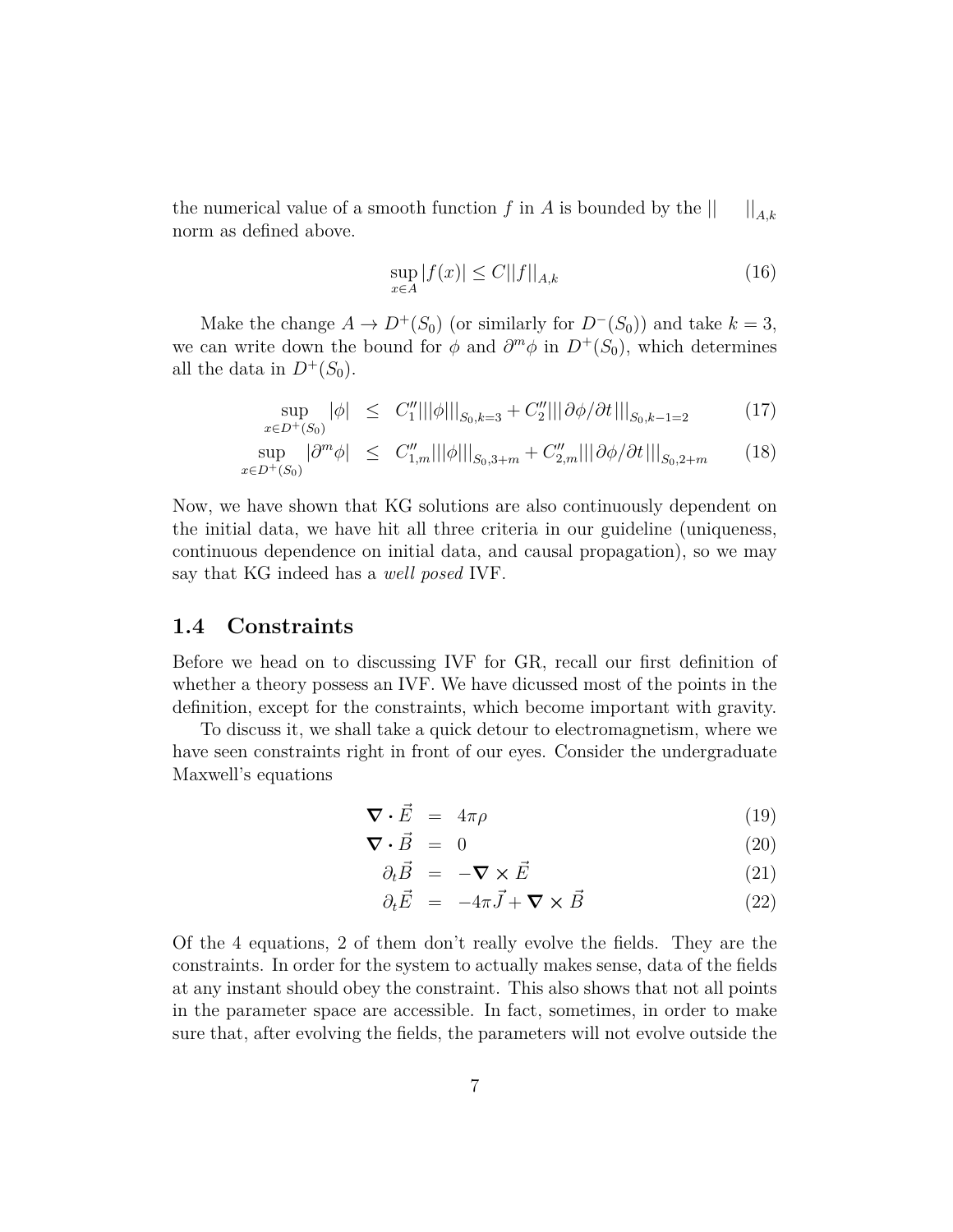the numerical value of a smooth function *f* in *A* is bounded by the  $|| \cdot ||_{A,k}$ norm as defined above.

$$
\sup_{x \in A} |f(x)| \le C ||f||_{A,k} \tag{16}
$$

Make the change  $A \to D^+(S_0)$  (or similarly for  $D^-(S_0)$ ) and take  $k=3$ , we can write down the bound for  $\phi$  and  $\partial^m \phi$  in  $D^+(S_0)$ , which determines all the data in  $D^{+}(S_0)$ .

$$
\sup_{x \in D^+(S_0)} |\phi| \leq C_1'' |||\phi|||_{S_0, k=3} + C_2'' |||\partial \phi / \partial t|||_{S_0, k-1=2}
$$
 (17)

$$
\sup_{x \in D^{+}(S_{0})} |\partial^{m} \phi| \leq C''_{1,m} |||\phi|||_{S_{0},3+m} + C''_{2,m} |||\partial \phi/\partial t|||_{S_{0},2+m}
$$
 (18)

Now, we have shown that KG solutions are also continuously dependent on the initial data, we have hit all three criteria in our guideline (uniqueness, continuous dependence on initial data, and causal propagation), so we may say that KG indeed has a *well posed* IVF.

#### **1.4 Constraints**

Before we head on to discussing IVF for GR, recall our first definition of whether a theory possess an IVF. We have dicussed most of the points in the definition, except for the constraints, which become important with gravity.

To discuss it, we shall take a quick detour to electromagnetism, where we have seen constraints right in front of our eyes. Consider the undergraduate Maxwell's equations

$$
\nabla \cdot \vec{E} = 4\pi \rho \tag{19}
$$

$$
\nabla \cdot \vec{B} = 0 \tag{20}
$$

$$
\partial_t \vec{B} = -\nabla \times \vec{E} \tag{21}
$$

$$
\partial_t \vec{E} = -4\pi \vec{J} + \nabla \times \vec{B} \tag{22}
$$

Of the 4 equations, 2 of them don't really evolve the fields. They are the constraints. In order for the system to actually makes sense, data of the fields at any instant should obey the constraint. This also shows that not all points in the parameter space are accessible. In fact, sometimes, in order to make sure that, after evolving the fields, the parameters will not evolve outside the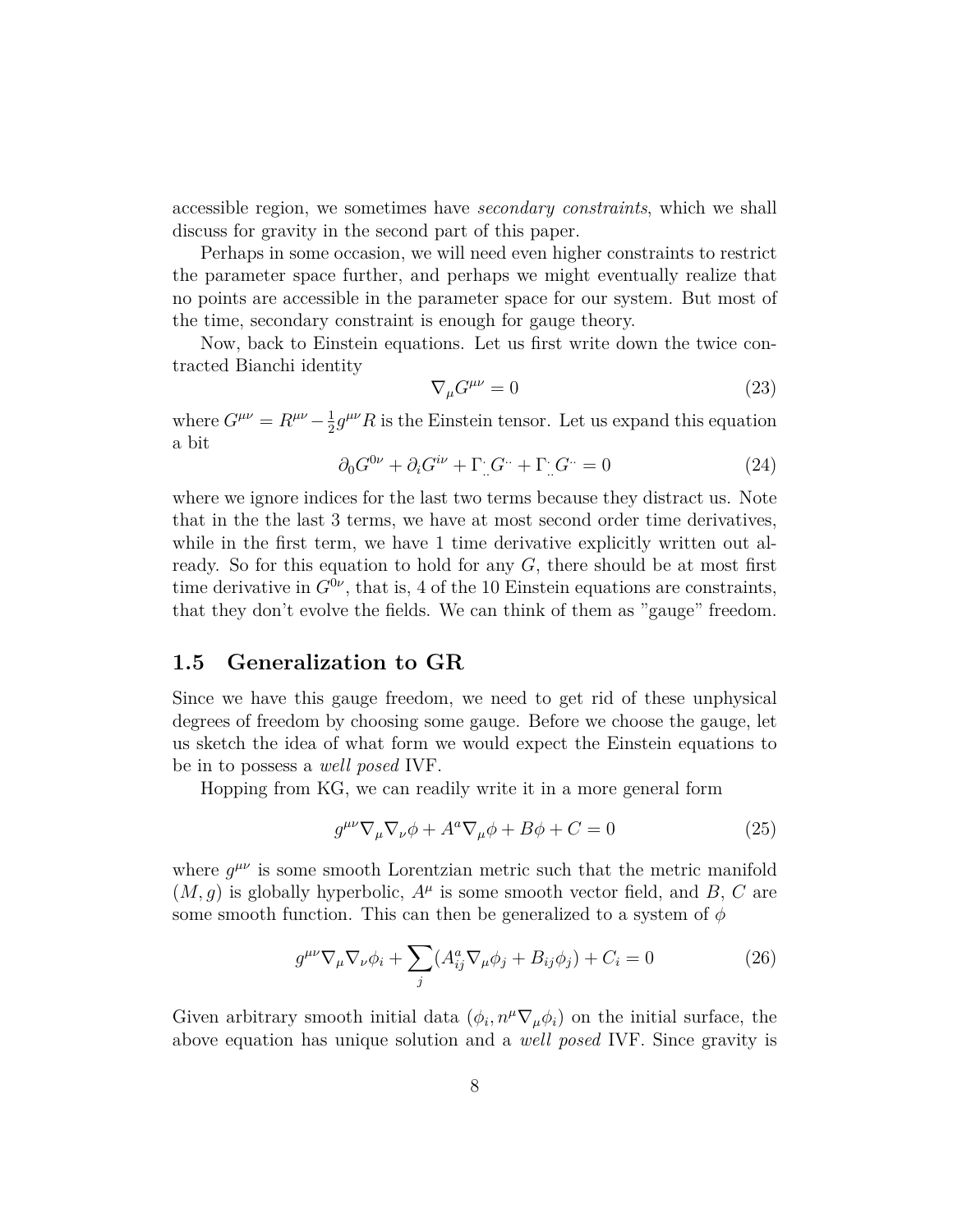accessible region, we sometimes have *secondary constraints*, which we shall discuss for gravity in the second part of this paper.

Perhaps in some occasion, we will need even higher constraints to restrict the parameter space further, and perhaps we might eventually realize that no points are accessible in the parameter space for our system. But most of the time, secondary constraint is enough for gauge theory.

Now, back to Einstein equations. Let us first write down the twice contracted Bianchi identity

$$
\nabla_{\mu}G^{\mu\nu} = 0\tag{23}
$$

where  $G^{\mu\nu} = R^{\mu\nu} - \frac{1}{2}$  $\frac{1}{2}g^{\mu\nu}R$  is the Einstein tensor. Let us expand this equation a bit

$$
\partial_0 G^{0\nu} + \partial_i G^{i\nu} + \Gamma_{\cdot \cdot} G^{\cdot \cdot} + \Gamma_{\cdot \cdot} G^{\cdot \cdot} = 0 \tag{24}
$$

where we ignore indices for the last two terms because they distract us. Note that in the the last 3 terms, we have at most second order time derivatives, while in the first term, we have 1 time derivative explicitly written out already. So for this equation to hold for any *G*, there should be at most first time derivative in  $G^{0\nu}$ , that is, 4 of the 10 Einstein equations are constraints, that they don't evolve the fields. We can think of them as "gauge" freedom.

### **1.5 Generalization to GR**

Since we have this gauge freedom, we need to get rid of these unphysical degrees of freedom by choosing some gauge. Before we choose the gauge, let us sketch the idea of what form we would expect the Einstein equations to be in to possess a *well posed* IVF.

Hopping from KG, we can readily write it in a more general form

$$
g^{\mu\nu}\nabla_{\mu}\nabla_{\nu}\phi + A^{a}\nabla_{\mu}\phi + B\phi + C = 0
$$
\n(25)

where  $g^{\mu\nu}$  is some smooth Lorentzian metric such that the metric manifold  $(M, g)$  is globally hyperbolic,  $A^{\mu}$  is some smooth vector field, and *B*, *C* are some smooth function. This can then be generalized to a system of  $\phi$ 

$$
g^{\mu\nu}\nabla_{\mu}\nabla_{\nu}\phi_i + \sum_j (A_{ij}^a\nabla_{\mu}\phi_j + B_{ij}\phi_j) + C_i = 0
$$
 (26)

Given arbitrary smooth initial data  $(\phi_i, n^{\mu} \nabla_{\mu} \phi_i)$  on the initial surface, the above equation has unique solution and a *well posed* IVF. Since gravity is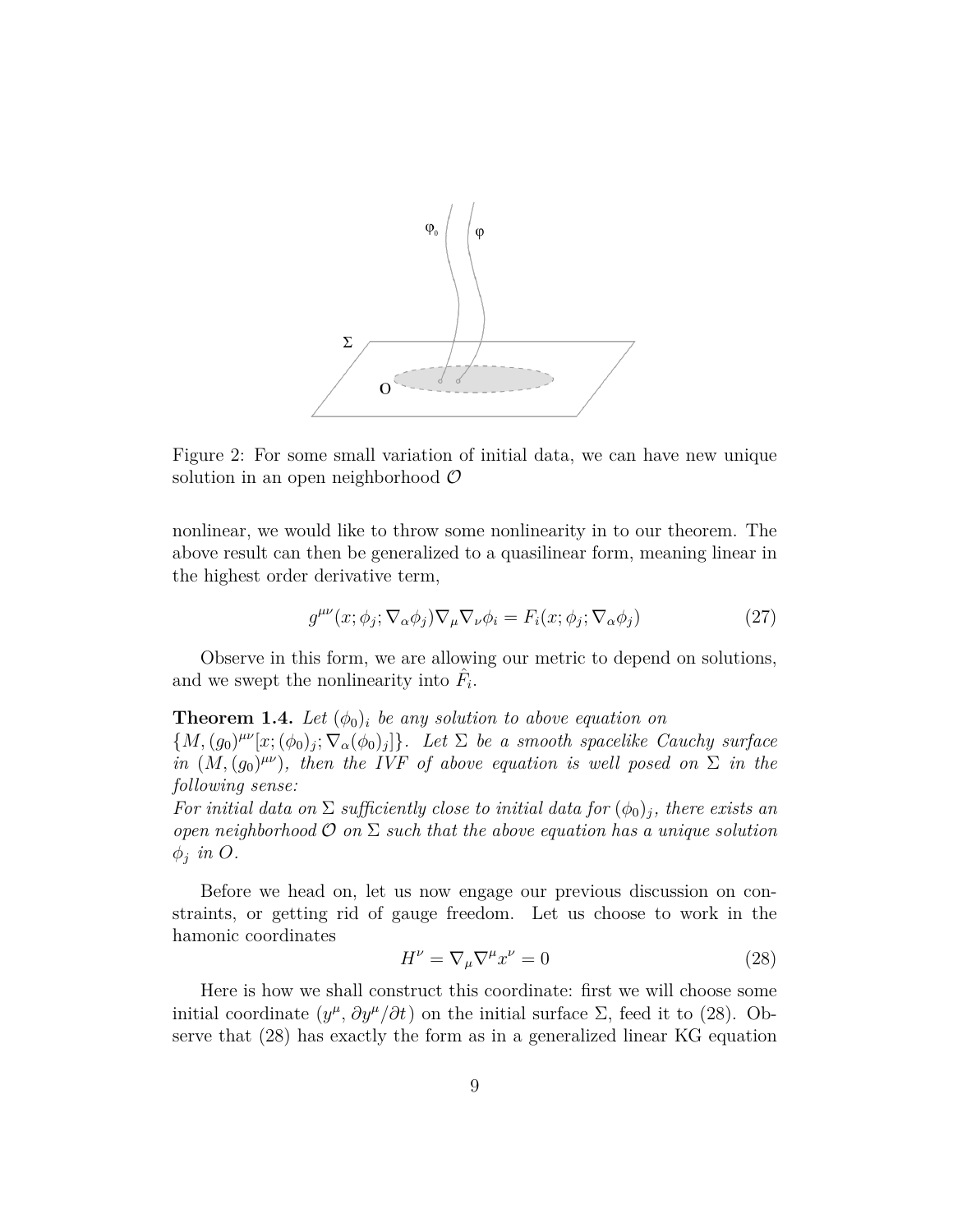

Figure 2: For some small variation of initial data, we can have new unique solution in an open neighborhood *O*

nonlinear, we would like to throw some nonlinearity in to our theorem. The above result can then be generalized to a quasilinear form, meaning linear in the highest order derivative term,

$$
g^{\mu\nu}(x; \phi_j; \nabla_\alpha \phi_j) \nabla_\mu \nabla_\nu \phi_i = F_i(x; \phi_j; \nabla_\alpha \phi_j)
$$
\n(27)

Observe in this form, we are allowing our metric to depend on solutions, and we swept the nonlinearity into  $\hat{F}_i$ .

**Theorem 1.4.** Let  $(\phi_0)_i$  be any solution to above equation on  ${M, (g_0)^{\mu\nu}[x; (\phi_0)_j; \nabla_\alpha(\phi_0)_j]}$ . Let  $\Sigma$  be a smooth spacelike Cauchy surface *in*  $(M, (g_0)^{\mu\nu})$ *, then the IVF of above equation is well posed on*  $\Sigma$  *in the following sense:*

*For initial data on*  $\Sigma$  *sufficiently close to initial data for*  $(\phi_0)_j$ *, there exists an open neighborhood O on* Σ *such that the above equation has a unique solution ϕj in O.*

Before we head on, let us now engage our previous discussion on constraints, or getting rid of gauge freedom. Let us choose to work in the hamonic coordinates

$$
H^{\nu} = \nabla_{\mu} \nabla^{\mu} x^{\nu} = 0 \tag{28}
$$

Here is how we shall construct this coordinate: first we will choose some initial coordinate  $(y^{\mu}, \partial y^{\mu}/\partial t)$  on the initial surface  $\Sigma$ , feed it to (28). Observe that (28) has exactly the form as in a generalized linear KG equation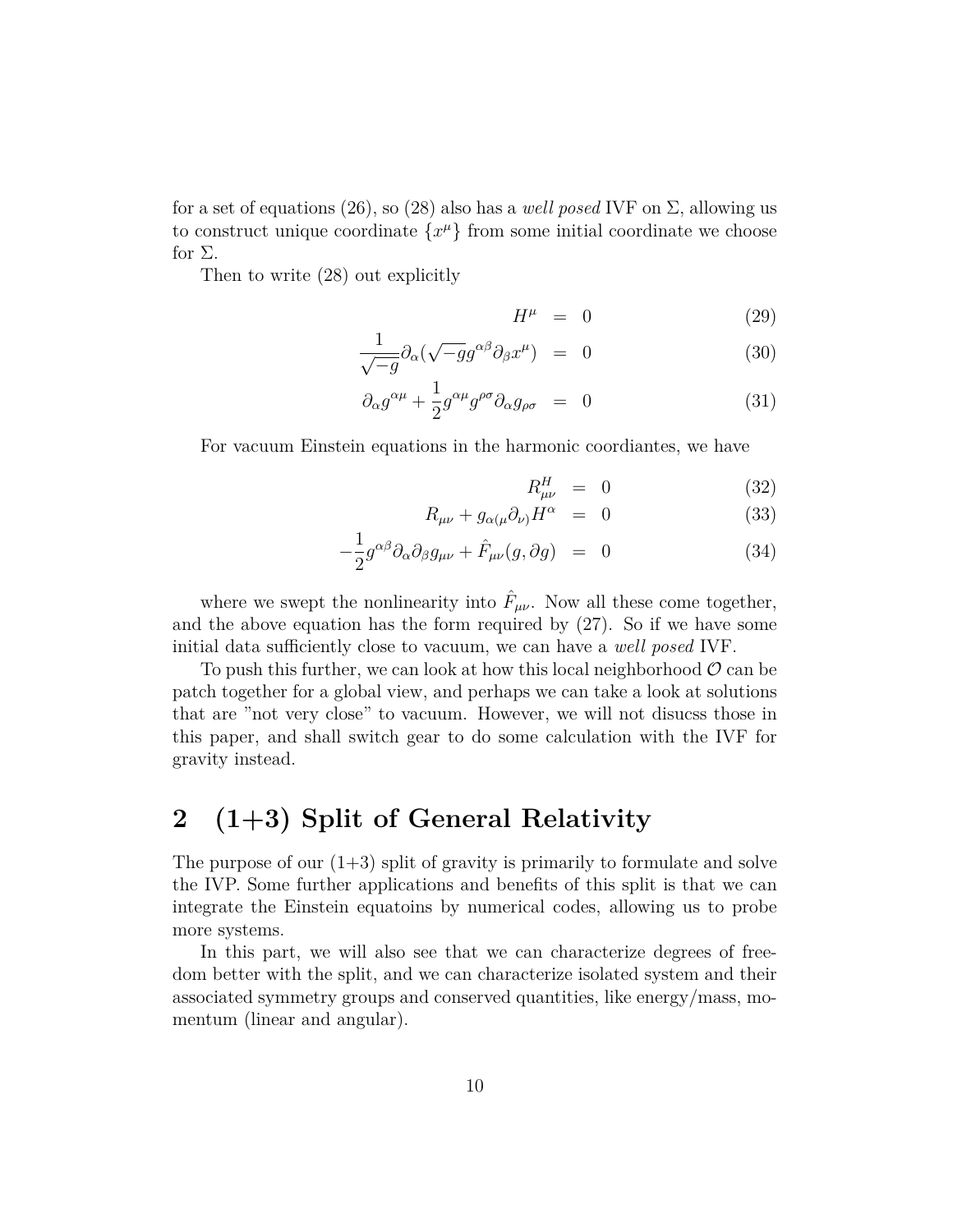for a set of equations (26), so (28) also has a *well posed* IVF on  $\Sigma$ , allowing us to construct unique coordinate  ${x^{\mu}}$  from some initial coordinate we choose for  $\Sigma$ .

Then to write (28) out explicitly

$$
H^{\mu} = 0 \tag{29}
$$

$$
\frac{1}{\sqrt{-g}} \partial_{\alpha} (\sqrt{-g} g^{\alpha \beta} \partial_{\beta} x^{\mu}) = 0 \tag{30}
$$

$$
\partial_{\alpha}g^{\alpha\mu} + \frac{1}{2}g^{\alpha\mu}g^{\rho\sigma}\partial_{\alpha}g_{\rho\sigma} = 0 \tag{31}
$$

For vacuum Einstein equations in the harmonic coordiantes, we have

$$
R_{\mu\nu}^H = 0 \tag{32}
$$

$$
R_{\mu\nu} + g_{\alpha(\mu}\partial_{\nu)}H^{\alpha} = 0 \tag{33}
$$

$$
-\frac{1}{2}g^{\alpha\beta}\partial_{\alpha}\partial_{\beta}g_{\mu\nu} + \hat{F}_{\mu\nu}(g,\partial g) = 0 \tag{34}
$$

where we swept the nonlinearity into  $\hat{F}_{\mu\nu}$ . Now all these come together, and the above equation has the form required by (27). So if we have some initial data sufficiently close to vacuum, we can have a *well posed* IVF.

To push this further, we can look at how this local neighborhood  $\mathcal{O}$  can be patch together for a global view, and perhaps we can take a look at solutions that are "not very close" to vacuum. However, we will not disucss those in this paper, and shall switch gear to do some calculation with the IVF for gravity instead.

## **2 (1+3) Split of General Relativity**

The purpose of our  $(1+3)$  split of gravity is primarily to formulate and solve the IVP. Some further applications and benefits of this split is that we can integrate the Einstein equatoins by numerical codes, allowing us to probe more systems.

In this part, we will also see that we can characterize degrees of freedom better with the split, and we can characterize isolated system and their associated symmetry groups and conserved quantities, like energy/mass, momentum (linear and angular).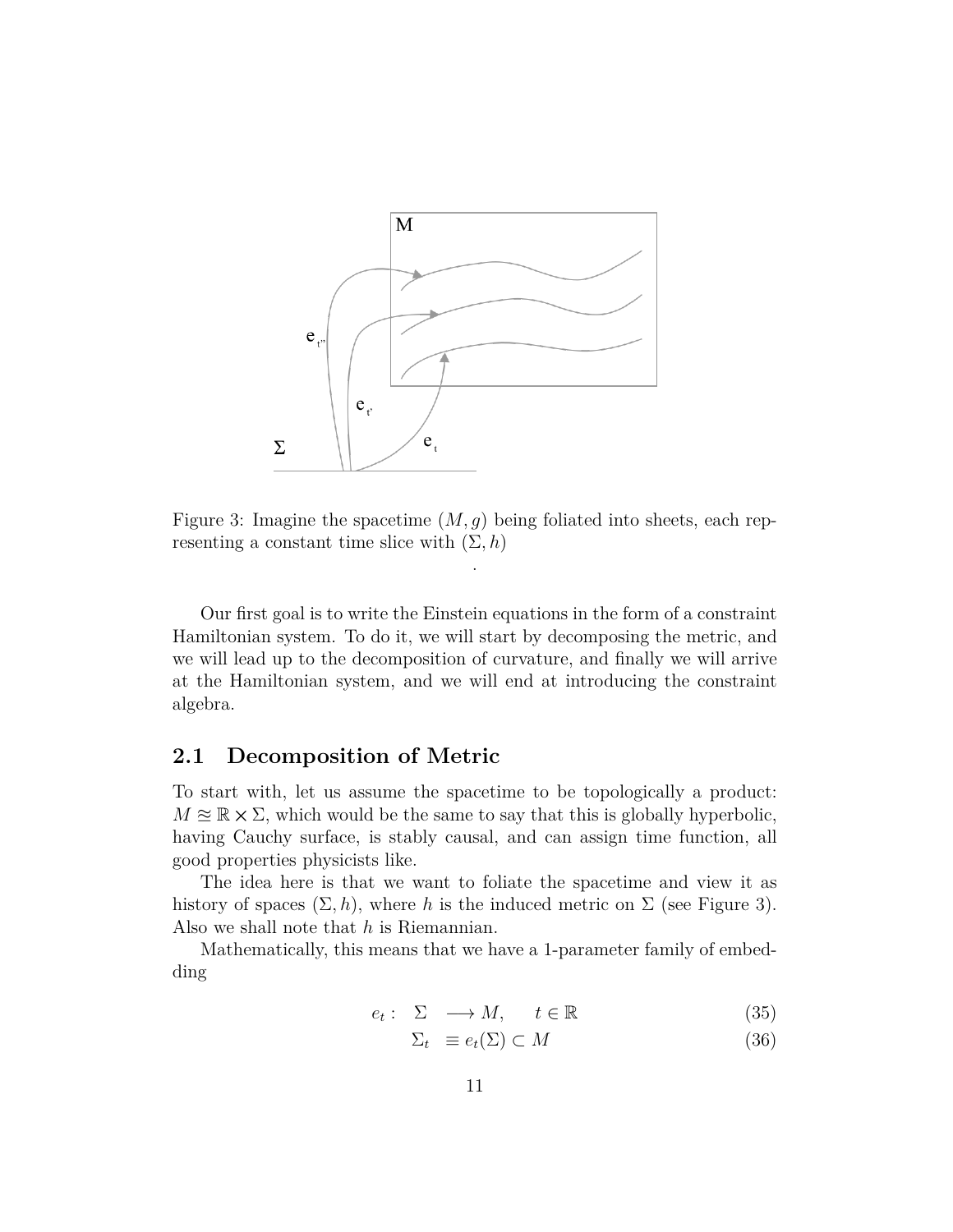

Figure 3: Imagine the spacetime (*M, g*) being foliated into sheets, each representing a constant time slice with  $(\Sigma, h)$ 

.

Our first goal is to write the Einstein equations in the form of a constraint Hamiltonian system. To do it, we will start by decomposing the metric, and we will lead up to the decomposition of curvature, and finally we will arrive at the Hamiltonian system, and we will end at introducing the constraint algebra.

### **2.1 Decomposition of Metric**

To start with, let us assume the spacetime to be topologically a product:  $M \approx \mathbb{R} \times \Sigma$ , which would be the same to say that this is globally hyperbolic, having Cauchy surface, is stably causal, and can assign time function, all good properties physicists like.

The idea here is that we want to foliate the spacetime and view it as history of spaces  $(\Sigma, h)$ , where *h* is the induced metric on  $\Sigma$  (see Figure 3). Also we shall note that *h* is Riemannian.

Mathematically, this means that we have a 1-parameter family of embedding

$$
e_t: \Sigma \longrightarrow M, \quad t \in \mathbb{R} \tag{35}
$$

$$
\Sigma_t \equiv e_t(\Sigma) \subset M \tag{36}
$$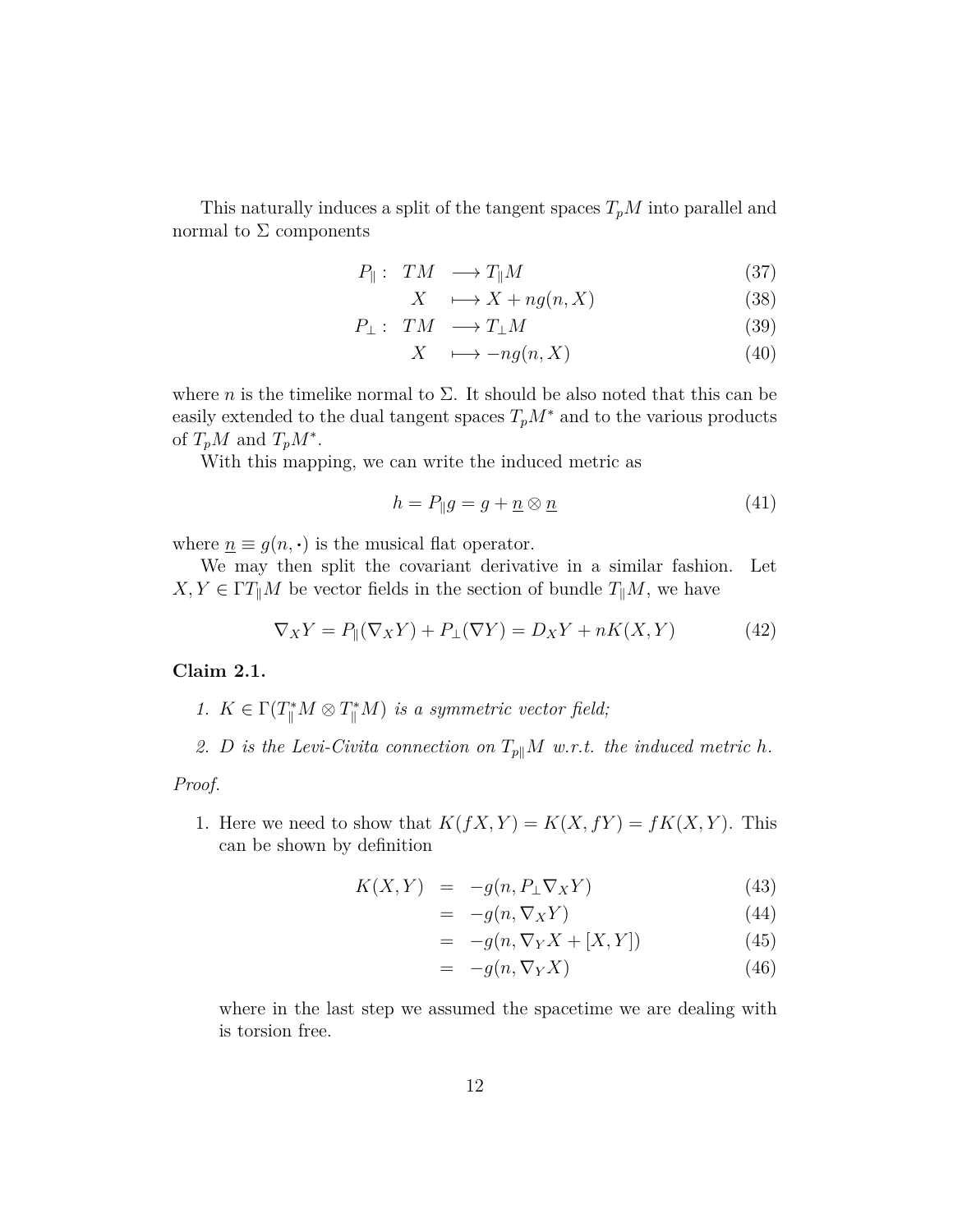This naturally induces a split of the tangent spaces *TpM* into parallel and normal to  $\Sigma$  components

$$
P_{\parallel}: TM \longrightarrow T_{\parallel}M \tag{37}
$$

$$
X \longrightarrow X + ng(n, X) \tag{38}
$$

$$
P_{\perp}: TM \longrightarrow T_{\perp}M \tag{39}
$$

$$
X \quad \longmapsto -ng(n, X) \tag{40}
$$

where *n* is the timelike normal to  $\Sigma$ . It should be also noted that this can be easily extended to the dual tangent spaces  $T_pM^*$  and to the various products of  $T_pM$  and  $T_pM^*$ .

With this mapping, we can write the induced metric as

$$
h = P_{\parallel}g = g + \underline{n} \otimes \underline{n} \tag{41}
$$

where  $\underline{n} \equiv g(n, \cdot)$  is the musical flat operator.

We may then split the covariant derivative in a similar fashion. Let  $X, Y \in \Gamma T \parallel M$  be vector fields in the section of bundle  $T \parallel M$ , we have

$$
\nabla_X Y = P_{\parallel}(\nabla_X Y) + P_{\perp}(\nabla Y) = D_X Y + nK(X, Y)
$$
\n(42)

#### **Claim 2.1.**

- *1.*  $K \in \Gamma(T^*_{\parallel} M \otimes T^*_{\parallel} M)$  *is a symmetric vector field;*
- *2. D is the Levi-Civita connection on T<sup>p</sup>∥M w.r.t. the induced metric h.*

*Proof.*

1. Here we need to show that  $K(fX, Y) = K(X, fY) = fK(X, Y)$ . This can be shown by definition

$$
K(X,Y) = -g(n, P_{\perp} \nabla_X Y) \tag{43}
$$

$$
= -g(n, \nabla_X Y) \tag{44}
$$

$$
= -g(n, \nabla_Y X + [X, Y]) \tag{45}
$$

$$
= -g(n, \nabla_Y X) \tag{46}
$$

where in the last step we assumed the spacetime we are dealing with is torsion free.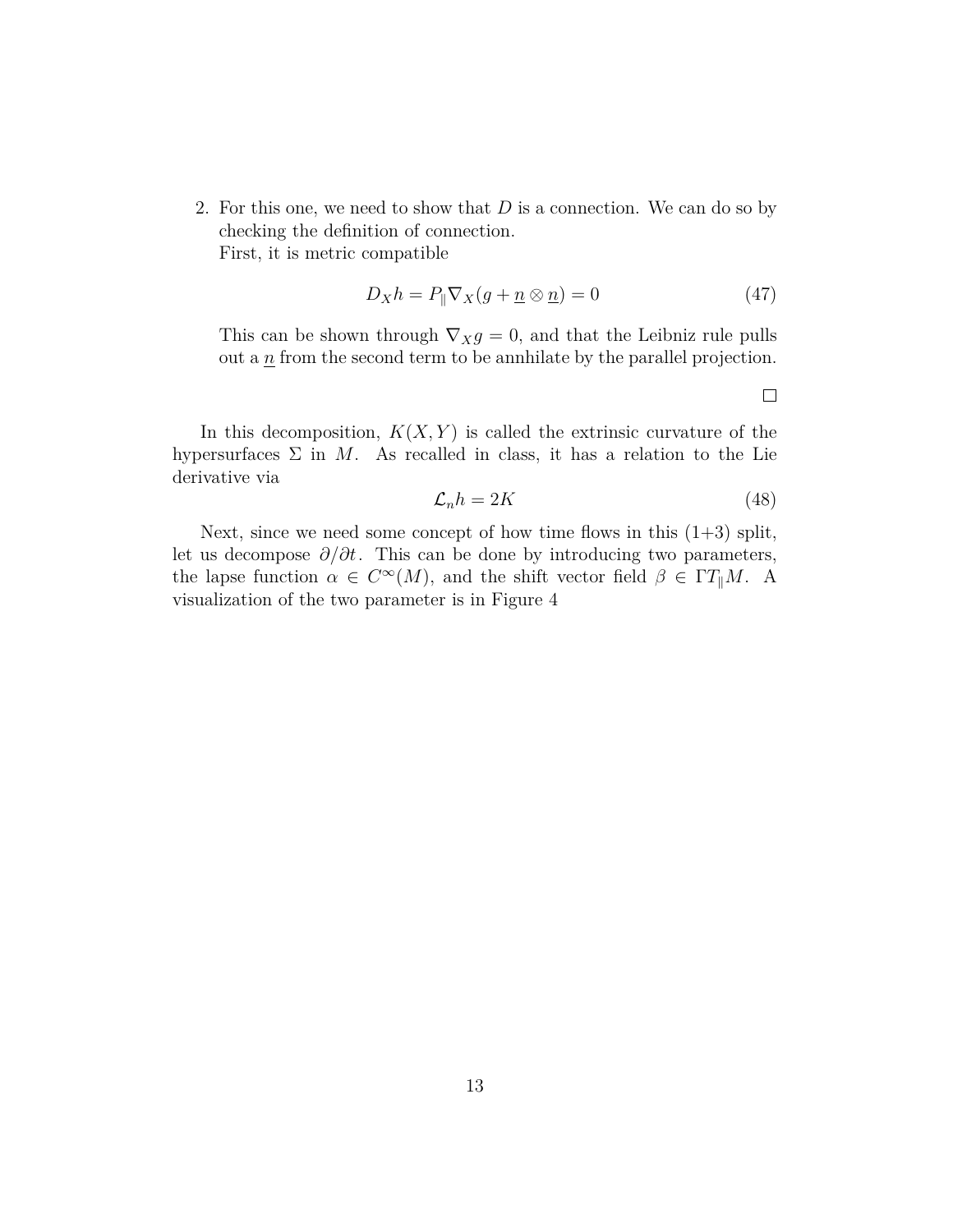2. For this one, we need to show that *D* is a connection. We can do so by checking the definition of connection. First, it is metric compatible

$$
D_X h = P_{\parallel} \nabla_X (g + \underline{n} \otimes \underline{n}) = 0 \tag{47}
$$

This can be shown through  $\nabla_X g = 0$ , and that the Leibniz rule pulls out a  $\underline{n}$  from the second term to be annihilate by the parallel projection.

 $\Box$ 

In this decomposition,  $K(X, Y)$  is called the extrinsic curvature of the hypersurfaces  $\Sigma$  in M. As recalled in class, it has a relation to the Lie derivative via

$$
\mathcal{L}_n h = 2K\tag{48}
$$

Next, since we need some concept of how time flows in this  $(1+3)$  split, let us decompose *∂*/*∂t*. This can be done by introducing two parameters, the lapse function  $\alpha \in C^{\infty}(M)$ , and the shift vector field  $\beta \in \Gamma T_{\parallel}M$ . A visualization of the two parameter is in Figure 4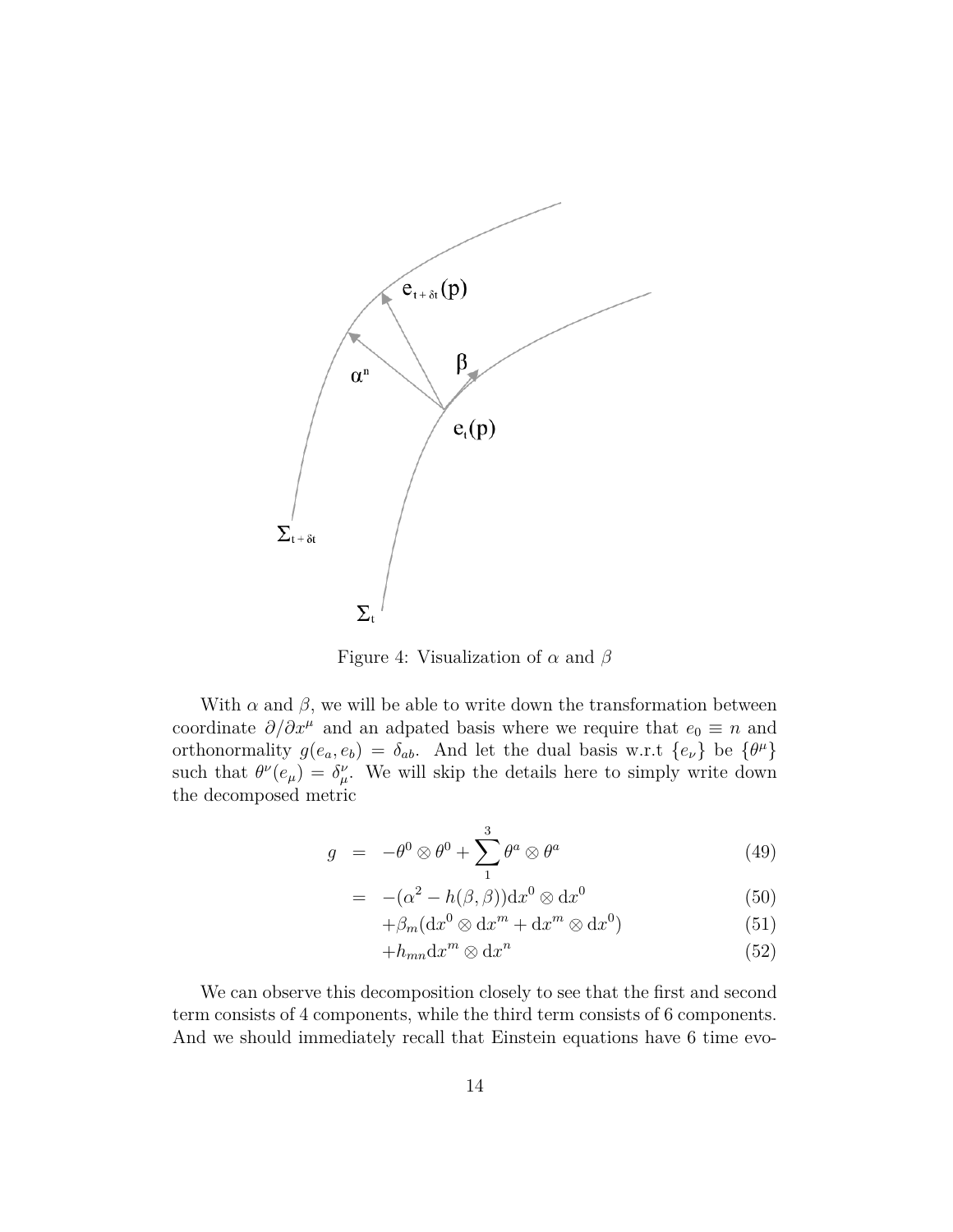

Figure 4: Visualization of *α* and *β*

With  $\alpha$  and  $\beta$ , we will be able to write down the transformation between coordinate  $\partial/\partial x^{\mu}$  and an adpated basis where we require that  $e_0 \equiv n$  and orthonormality  $g(e_a, e_b) = \delta_{ab}$ . And let the dual basis w.r.t  $\{e_{\nu}\}\$ be  $\{\theta^{\mu}\}\$ such that  $\theta^{\nu}(e_{\mu}) = \delta^{\nu}_{\mu}$ . We will skip the details here to simply write down the decomposed metric

$$
g = -\theta^0 \otimes \theta^0 + \sum_{1}^{3} \theta^a \otimes \theta^a \tag{49}
$$

$$
= -(\alpha^2 - h(\beta, \beta))dx^0 \otimes dx^0 \tag{50}
$$

$$
+\beta_m(\mathrm{d}x^0 \otimes \mathrm{d}x^m + \mathrm{d}x^m \otimes \mathrm{d}x^0) \tag{51}
$$

$$
+h_{mn} \mathrm{d}x^m \otimes \mathrm{d}x^n \tag{52}
$$

We can observe this decomposition closely to see that the first and second term consists of 4 components, while the third term consists of 6 components. And we should immediately recall that Einstein equations have 6 time evo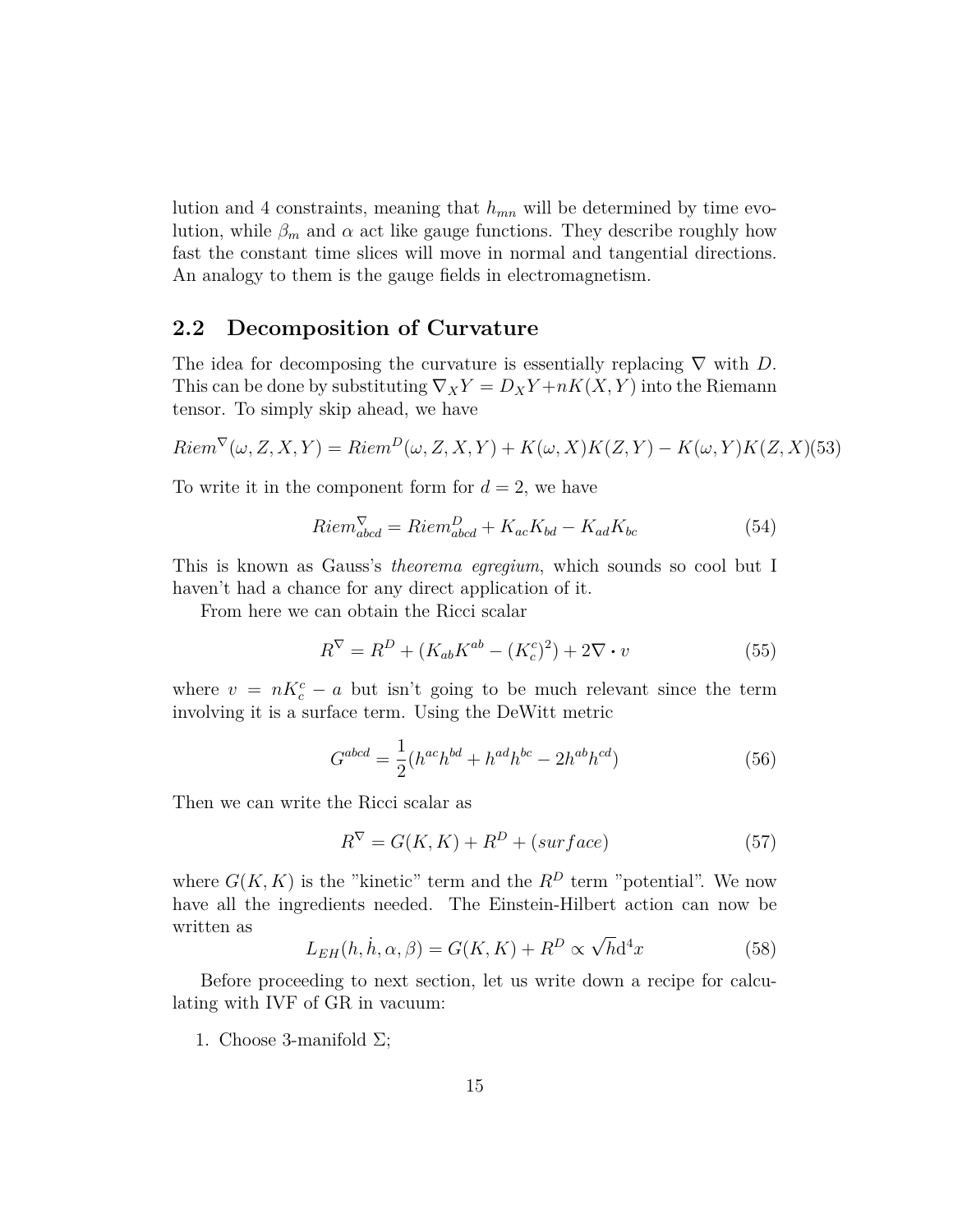lution and 4 constraints, meaning that *hmn* will be determined by time evolution, while  $\beta_m$  and  $\alpha$  act like gauge functions. They describe roughly how fast the constant time slices will move in normal and tangential directions. An analogy to them is the gauge fields in electromagnetism.

### **2.2 Decomposition of Curvature**

The idea for decomposing the curvature is essentially replacing *∇* with *D*. This can be done by substituting  $\nabla_X Y = D_X Y + nK(X, Y)$  into the Riemann tensor. To simply skip ahead, we have

$$
Riem^{\nabla}(\omega, Z, X, Y) = Riem^D(\omega, Z, X, Y) + K(\omega, X)K(Z, Y) - K(\omega, Y)K(Z, X)
$$
 (53)

To write it in the component form for  $d = 2$ , we have

$$
Riem_{abcd}^{\nabla} = Riem_{abcd}^D + K_{ac}K_{bd} - K_{ad}K_{bc}
$$
\n(54)

This is known as Gauss's *theorema egregium*, which sounds so cool but I haven't had a chance for any direct application of it.

From here we can obtain the Ricci scalar

$$
R^{\nabla} = R^{D} + (K_{ab}K^{ab} - (K_{c}^{c})^{2}) + 2\nabla \cdot v \tag{55}
$$

where  $v = nK_c^c - a$  but isn't going to be much relevant since the term involving it is a surface term. Using the DeWitt metric

$$
G^{abcd} = \frac{1}{2}(h^{ac}h^{bd} + h^{ad}h^{bc} - 2h^{ab}h^{cd})
$$
 (56)

Then we can write the Ricci scalar as

$$
R^{\nabla} = G(K, K) + R^D + (surface)
$$
\n(57)

where  $G(K, K)$  is the "kinetic" term and the  $R^D$  term "potential". We now have all the ingredients needed. The Einstein-Hilbert action can now be written as *√*

$$
L_{EH}(h, \dot{h}, \alpha, \beta) = G(K, K) + R^{D} \propto \sqrt{h} d^{4}x \qquad (58)
$$

Before proceeding to next section, let us write down a recipe for calculating with IVF of GR in vacuum:

1. Choose 3-manifold  $\Sigma$ ;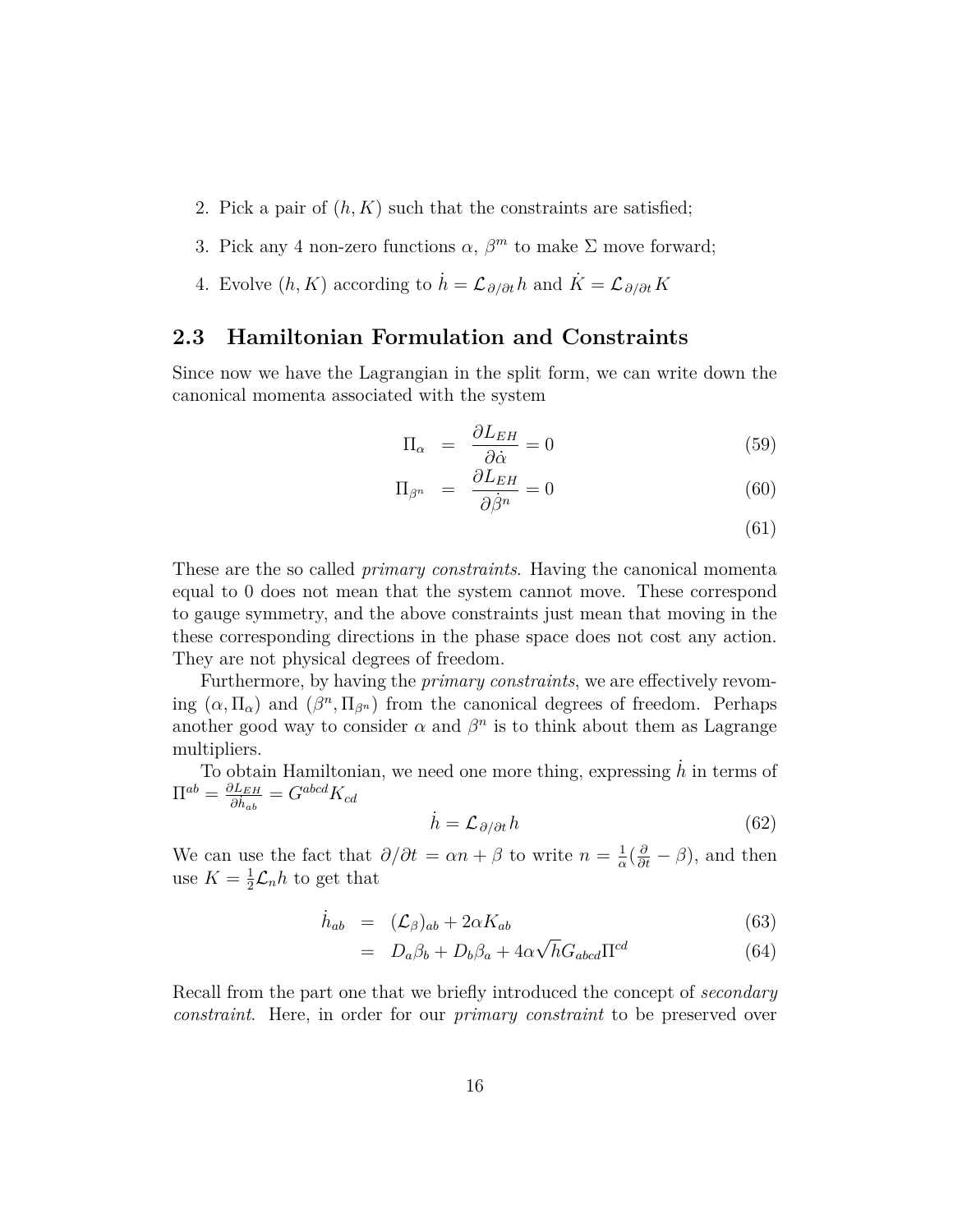- 2. Pick a pair of  $(h, K)$  such that the constraints are satisfied;
- 3. Pick any 4 non-zero functions  $\alpha$ ,  $\beta^{m}$  to make  $\Sigma$  move forward;
- 4. Evolve  $(h, K)$  according to  $\dot{h} = \mathcal{L}_{\partial/\partial t}h$  and  $\dot{K} = \mathcal{L}_{\partial/\partial t}K$

### **2.3 Hamiltonian Formulation and Constraints**

Since now we have the Lagrangian in the split form, we can write down the canonical momenta associated with the system

$$
\Pi_{\alpha} = \frac{\partial L_{EH}}{\partial \dot{\alpha}} = 0 \tag{59}
$$

$$
\Pi_{\beta^n} = \frac{\partial L_{EH}}{\partial \dot{\beta}^n} = 0 \tag{60}
$$

(61)

These are the so called *primary constraints*. Having the canonical momenta equal to 0 does not mean that the system cannot move. These correspond to gauge symmetry, and the above constraints just mean that moving in the these corresponding directions in the phase space does not cost any action. They are not physical degrees of freedom.

Furthermore, by having the *primary constraints*, we are effectively revoming  $(\alpha, \Pi_{\alpha})$  and  $(\beta^n, \Pi_{\beta^n})$  from the canonical degrees of freedom. Perhaps another good way to consider  $\alpha$  and  $\beta^n$  is to think about them as Lagrange multipliers.

To obtain Hamiltonian, we need one more thing, expressing  $\dot{h}$  in terms of  $\Pi^{ab} = \frac{\partial L_{EH}}{\partial \dot{L}}$  $\frac{\partial L_{EH}}{\partial \dot{h}_{ab}} = G^{abcd}K_{cd}$ 

$$
\dot{h} = \mathcal{L}_{\partial/\partial t} h \tag{62}
$$

We can use the fact that  $\partial/\partial t = \alpha n + \beta$  to write  $n = \frac{1}{\alpha}$  $\frac{1}{\alpha}$  ( $\frac{\partial}{\partial t}$  *− β*), and then use  $K=\frac{1}{2}$  $\frac{1}{2}\mathcal{L}_n h$  to get that

$$
\dot{h}_{ab} = (\mathcal{L}_{\beta})_{ab} + 2\alpha K_{ab} \tag{63}
$$

$$
= D_a \beta_b + D_b \beta_a + 4\alpha \sqrt{h} G_{abcd} \Pi^{cd} \tag{64}
$$

Recall from the part one that we briefly introduced the concept of *secondary constraint*. Here, in order for our *primary constraint* to be preserved over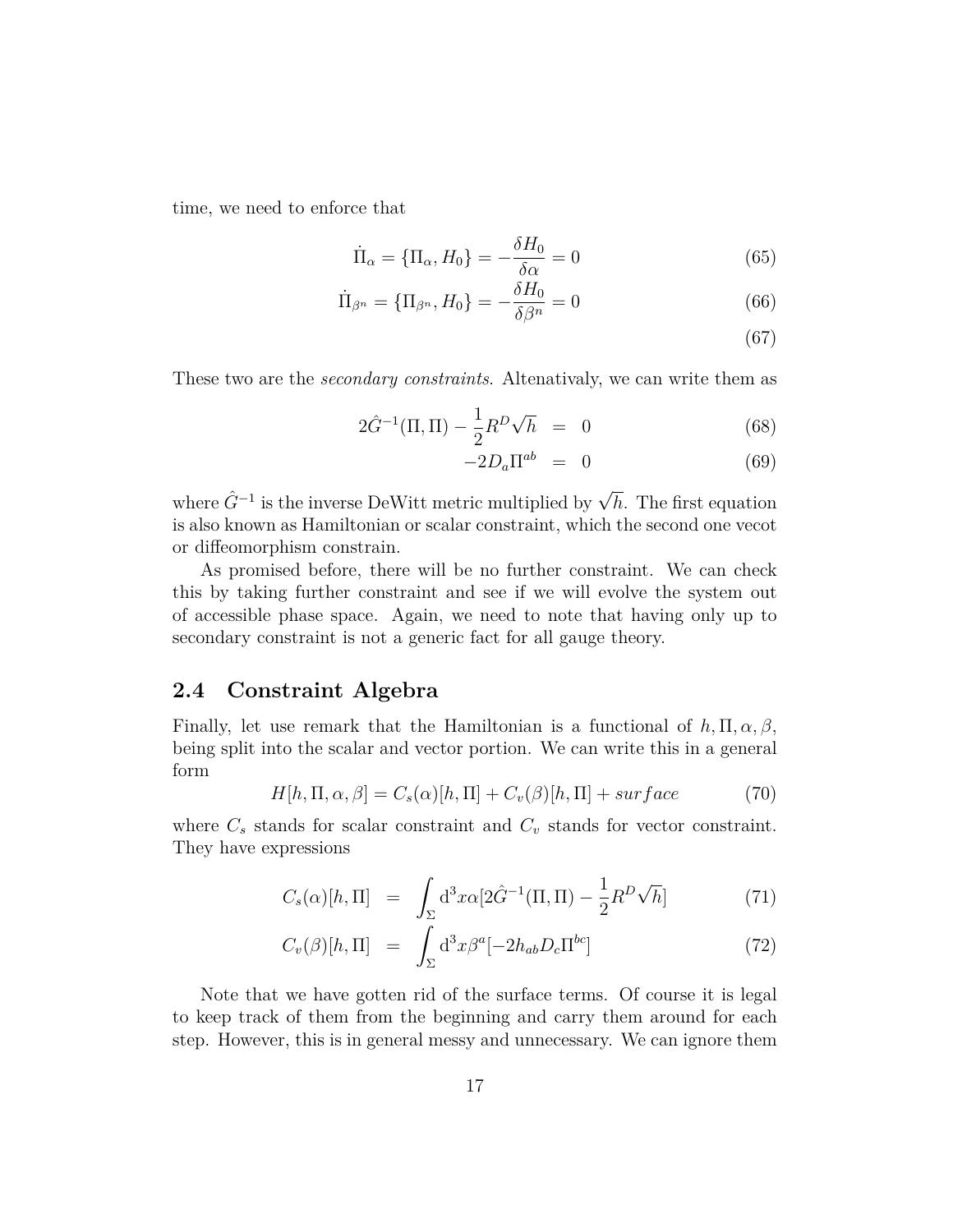time, we need to enforce that

$$
\dot{\Pi}_{\alpha} = \{\Pi_{\alpha}, H_0\} = -\frac{\delta H_0}{\delta \alpha} = 0
$$
\n(65)

$$
\dot{\Pi}_{\beta^n} = \{\Pi_{\beta^n}, H_0\} = -\frac{\delta H_0}{\delta \beta^n} = 0
$$
\n(66)

(67)

These two are the *secondary constraints*. Altenativaly, we can write them as

$$
2\hat{G}^{-1}(\Pi,\Pi) - \frac{1}{2}R^D\sqrt{h} = 0 \tag{68}
$$

$$
-2D_a \Pi^{ab} = 0 \tag{69}
$$

where *G*ˆ*−*<sup>1</sup> is the inverse DeWitt metric multiplied by *<sup>√</sup> h*. The first equation is also known as Hamiltonian or scalar constraint, which the second one vecot or diffeomorphism constrain.

As promised before, there will be no further constraint. We can check this by taking further constraint and see if we will evolve the system out of accessible phase space. Again, we need to note that having only up to secondary constraint is not a generic fact for all gauge theory.

### **2.4 Constraint Algebra**

Finally, let use remark that the Hamiltonian is a functional of  $h, \Pi, \alpha, \beta$ , being split into the scalar and vector portion. We can write this in a general form

$$
H[h, \Pi, \alpha, \beta] = C_s(\alpha)[h, \Pi] + C_v(\beta)[h, \Pi] + surface \tag{70}
$$

where  $C_s$  stands for scalar constraint and  $C_v$  stands for vector constraint. They have expressions

$$
C_s(\alpha)[h,\Pi] = \int_{\Sigma} d^3x \alpha [2\hat{G}^{-1}(\Pi,\Pi) - \frac{1}{2}R^D\sqrt{h}] \qquad (71)
$$

$$
C_v(\beta)[h,\Pi] = \int_{\Sigma} d^3x \beta^a [-2h_{ab}D_c\Pi^{bc}] \tag{72}
$$

Note that we have gotten rid of the surface terms. Of course it is legal to keep track of them from the beginning and carry them around for each step. However, this is in general messy and unnecessary. We can ignore them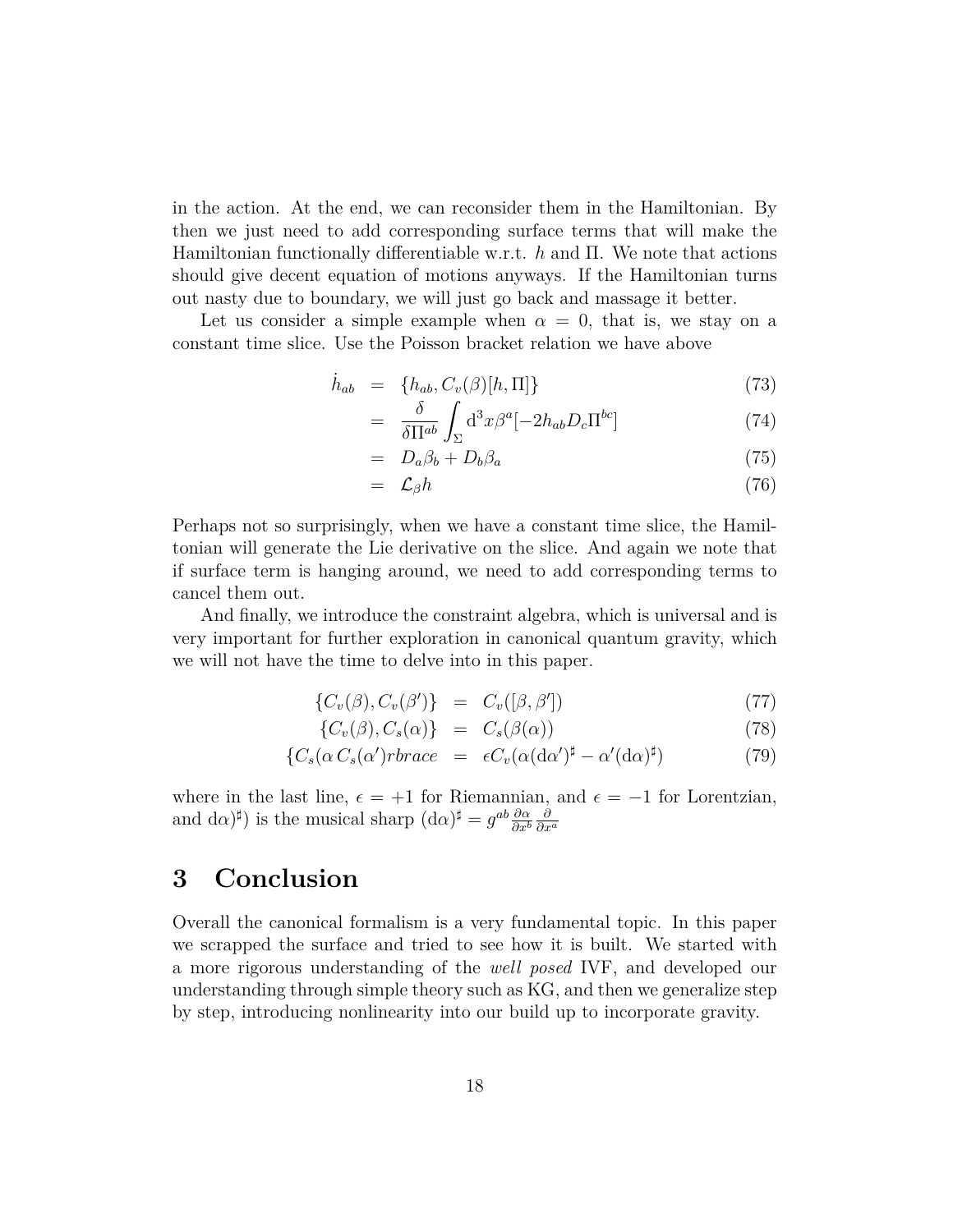in the action. At the end, we can reconsider them in the Hamiltonian. By then we just need to add corresponding surface terms that will make the Hamiltonian functionally differentiable w.r.t. *h* and Π. We note that actions should give decent equation of motions anyways. If the Hamiltonian turns out nasty due to boundary, we will just go back and massage it better.

Let us consider a simple example when  $\alpha = 0$ , that is, we stay on a constant time slice. Use the Poisson bracket relation we have above

$$
\dot{h}_{ab} = \{h_{ab}, C_v(\beta)[h, \Pi]\}\tag{73}
$$

$$
= \frac{\delta}{\delta \Pi^{ab}} \int_{\Sigma} d^3x \beta^a [-2h_{ab} D_c \Pi^{bc}] \tag{74}
$$

$$
= D_a \beta_b + D_b \beta_a \tag{75}
$$

$$
= \mathcal{L}_{\beta} h \tag{76}
$$

Perhaps not so surprisingly, when we have a constant time slice, the Hamiltonian will generate the Lie derivative on the slice. And again we note that if surface term is hanging around, we need to add corresponding terms to cancel them out.

And finally, we introduce the constraint algebra, which is universal and is very important for further exploration in canonical quantum gravity, which we will not have the time to delve into in this paper.

$$
\{C_v(\beta), C_v(\beta')\} = C_v([\beta, \beta']) \tag{77}
$$

$$
\{C_v(\beta), C_s(\alpha)\} = C_s(\beta(\alpha)) \tag{78}
$$

$$
\{C_s(\alpha C_s(\alpha')rbrace = \epsilon C_v(\alpha(\alpha \alpha')^{\sharp} - \alpha'(\alpha \alpha)^{\sharp}) \tag{79}
$$

where in the last line,  $\epsilon = +1$  for Riemannian, and  $\epsilon = -1$  for Lorentzian, and  $d\alpha$ <sup> $\sharp$ </sup>) is the musical sharp  $(d\alpha)^{\sharp} = g^{ab} \frac{\partial \alpha}{\partial x^{b}}$ *∂x<sup>b</sup> ∂ ∂x<sup>a</sup>*

### **3 Conclusion**

Overall the canonical formalism is a very fundamental topic. In this paper we scrapped the surface and tried to see how it is built. We started with a more rigorous understanding of the *well posed* IVF, and developed our understanding through simple theory such as KG, and then we generalize step by step, introducing nonlinearity into our build up to incorporate gravity.